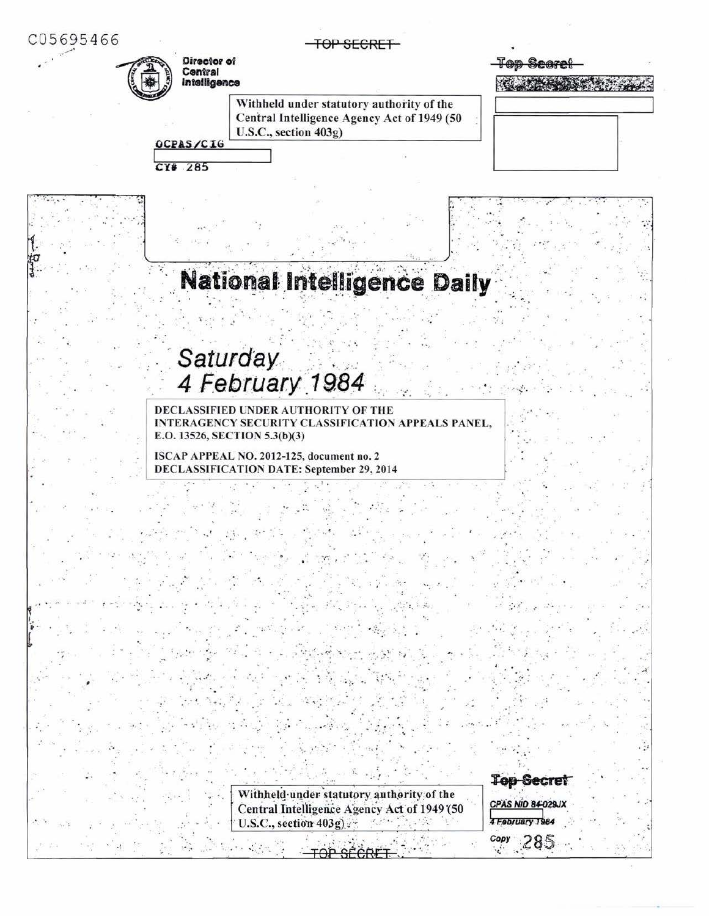C05695466

TOP SECRET